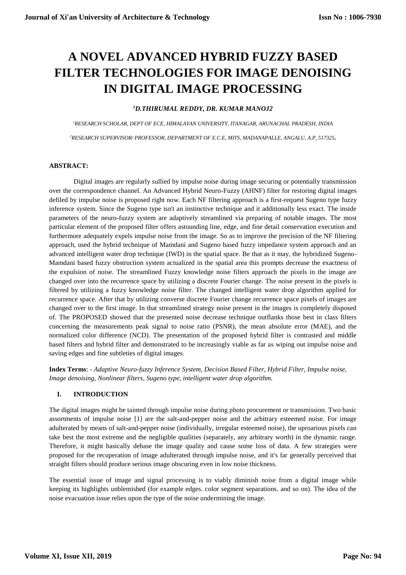# **A NOVEL ADVANCED HYBRID FUZZY BASED FILTER TECHNOLOGIES FOR IMAGE DENOISING IN DIGITAL IMAGE PROCESSING**

# *<sup>1</sup>D.THIRUMAL REDDY, DR. KUMAR MANOJ2*

*<sup>1</sup>RESEARCH SCHOLAR, DEPT OF ECE, HIMALAYAN UNIVERSITY, ITANAGAR, ARUNACHAL PRADESH, INDIA <sup>2</sup>RESEARCH SUPERVISOR/ PROFESSOR, DEPARTMENT OF E.C.E, MITS, MADANAPALLE, ANGALU, A.P, 517325.*

# **ABSTRACT:**

Digital images are regularly sullied by impulse noise during image securing or potentially transmission over the correspondence channel. An Advanced Hybrid Neuro-Fuzzy (AHNF) filter for restoring digital images defiled by impulse noise is proposed right now. Each NF filtering approach is a first-request Sugeno type fuzzy inference system. Since the Sugeno type isn't an instinctive technique and it additionally less exact. The inside parameters of the neuro-fuzzy system are adaptively streamlined via preparing of notable images. The most particular element of the proposed filter offers astounding line, edge, and fine detail conservation execution and furthermore adequately expels impulse noise from the image. So as to improve the precision of the NF filtering approach, used the hybrid technique of Mamdani and Sugeno based fuzzy impedance system approach and an advanced intelligent water drop technique (IWD) in the spatial space. Be that as it may, the hybridized Sugeno-Mamdani based fuzzy obstruction system actualized in the spatial area this prompts decrease the exactness of the expulsion of noise. The streamlined Fuzzy knowledge noise filters approach the pixels in the image are changed over into the recurrence space by utilizing a discrete Fourier change. The noise present in the pixels is filtered by utilizing a fuzzy knowledge noise filter. The changed intelligent water drop algorithm applied for recurrence space. After that by utilizing converse discrete Fourier change recurrence space pixels of images are changed over to the first image. In that streamlined strategy noise present in the images is completely disposed of. The PROPOSED showed that the presented noise decrease technique outflanks those best in class filters concerning the measurements peak signal to noise ratio (PSNR), the mean absolute error (MAE), and the normalized color difference (NCD). The presentation of the proposed hybrid filter is contrasted and middle based filters and hybrid filter and demonstrated to be increasingly viable as far as wiping out impulse noise and saving edges and fine subtleties of digital images.

**Index Terms**: - *Adaptive Neuro-fuzzy Inference System, Decision Based Filter, Hybrid Filter, Impulse noise, Image denoising, Nonlinear filters, Sugeno type, intelligent water drop algorithm.*

# **I. INTRODUCTION**

The digital images might be tainted through impulse noise during photo procurement or transmission. Two basic assortments of impulse noise [1] are the salt-and-pepper noise and the arbitrary esteemed noise. For image adulterated by means of salt-and-pepper noise (individually, irregular esteemed noise), the uproarious pixels can take best the most extreme and the negligible qualities (separately, any arbitrary worth) in the dynamic range. Therefore, it might basically debase the image quality and cause some loss of data. A few strategies were proposed for the recuperation of image adulterated through impulse noise, and it's far generally perceived that straight filters should produce serious image obscuring even in low noise thickness.

The essential issue of image and signal processing is to viably diminish noise from a digital image while keeping its highlights unblemished (for example edges. color segment separations. and so on). The idea of the noise evacuation issue relies upon the type of the noise undermining the image.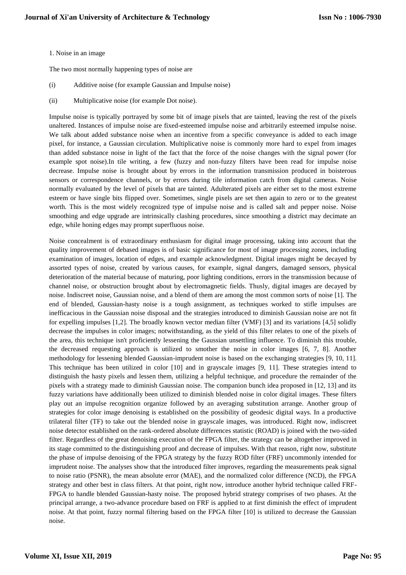#### 1. Noise in an image

The two most normally happening types of noise are

- (i) Additive noise (for example Gaussian and Impulse noise)
- (ii) Multiplicative noise (for example Dot noise).

Impulse noise is typically portrayed by some bit of image pixels that are tainted, leaving the rest of the pixels unaltered. Instances of impulse noise are fixed-esteemed impulse noise and arbitrarily esteemed impulse noise. We talk about added substance noise when an incentive from a specific conveyance is added to each image pixel, for instance, a Gaussian circulation. Multiplicative noise is commonly more hard to expel from images than added substance noise in light of the fact that the force of the noise changes with the signal power (for example spot noise).In tile writing, a few (fuzzy and non-fuzzy filters have been read for impulse noise decrease. Impulse noise is brought about by errors in the information transmission produced in boisterous sensors or correspondence channels, or by errors during tile information catch from digital cameras. Noise normally evaluated by the level of pixels that are tainted. Adulterated pixels are either set to the most extreme esteem or have single bits flipped over. Sometimes, single pixels are set then again to zero or to the greatest worth. This is the most widely recognized type of impulse noise and is called salt and pepper noise. Noise smoothing and edge upgrade are intrinsically clashing procedures, since smoothing a district may decimate an edge, while honing edges may prompt superfluous noise.

Noise concealment is of extraordinary enthusiasm for digital image processing, taking into account that the quality improvement of debased images is of basic significance for most of image processing zones, including examination of images, location of edges, and example acknowledgment. Digital images might be decayed by assorted types of noise, created by various causes, for example, signal dangers, damaged sensors, physical deterioration of the material because of maturing, poor lighting conditions, errors in the transmission because of channel noise, or obstruction brought about by electromagnetic fields. Thusly, digital images are decayed by noise. Indiscreet noise, Gaussian noise, and a blend of them are among the most common sorts of noise [1]. The end of blended, Gaussian-hasty noise is a tough assignment, as techniques worked to stifle impulses are inefficacious in the Gaussian noise disposal and the strategies introduced to diminish Gaussian noise are not fit for expelling impulses [1,2]. The broadly known vector median filter (VMF) [3] and its variations [4,5] solidly decrease the impulses in color images; notwithstanding, as the yield of this filter relates to one of the pixels of the area, this technique isn't proficiently lessening the Gaussian unsettling influence. To diminish this trouble, the decreased requesting approach is utilized to smother the noise in color images [6, 7, 8]. Another methodology for lessening blended Gaussian-imprudent noise is based on the exchanging strategies [9, 10, 11]. This technique has been utilized in color [10] and in grayscale images [9, 11]. These strategies intend to distinguish the hasty pixels and lessen them, utilizing a helpful technique, and procedure the remainder of the pixels with a strategy made to diminish Gaussian noise. The companion bunch idea proposed in [12, 13] and its fuzzy variations have additionally been utilized to diminish blended noise in color digital images. These filters play out an impulse recognition organize followed by an averaging substitution arrange. Another group of strategies for color image denoising is established on the possibility of geodesic digital ways. In a productive trilateral filter (TF) to take out the blended noise in grayscale images, was introduced. Right now, indiscreet noise detector established on the rank-ordered absolute differences statistic (ROAD) is joined with the two-sided filter. Regardless of the great denoising execution of the FPGA filter, the strategy can be altogether improved in its stage committed to the distinguishing proof and decrease of impulses. With that reason, right now, substitute the phase of impulse denoising of the FPGA strategy by the fuzzy ROD filter (FRF) uncommonly intended for imprudent noise. The analyses show that the introduced filter improves, regarding the measurements peak signal to noise ratio (PSNR), the mean absolute error (MAE), and the normalized color difference (NCD), the FPGA strategy and other best in class filters. At that point, right now, introduce another hybrid technique called FRF-FPGA to handle blended Gaussian-hasty noise. The proposed hybrid strategy comprises of two phases. At the principal arrange, a two-advance procedure based on FRF is applied to at first diminish the effect of imprudent noise. At that point, fuzzy normal filtering based on the FPGA filter [10] is utilized to decrease the Gaussian noise.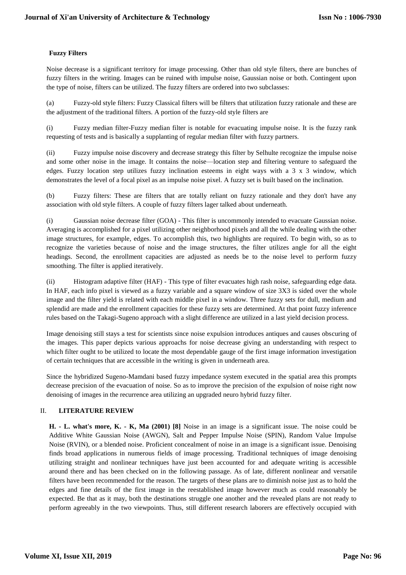# **Fuzzy Filters**

Noise decrease is a significant territory for image processing. Other than old style filters, there are bunches of fuzzy filters in the writing. Images can be ruined with impulse noise, Gaussian noise or both. Contingent upon the type of noise, filters can be utilized. The fuzzy filters are ordered into two subclasses:

(a) Fuzzy-old style filters: Fuzzy Classical filters will be filters that utilization fuzzy rationale and these are the adjustment of the traditional filters. A portion of the fuzzy-old style filters are

(i) Fuzzy median filter-Fuzzy median filter is notable for evacuating impulse noise. It is the fuzzy rank requesting of tests and is basically a supplanting of regular median filter with fuzzy partners.

(ii) Fuzzy impulse noise discovery and decrease strategy this filter by Selhulte recognize the impulse noise and some other noise in the image. It contains the noise—location step and filtering venture to safeguard the edges. Fuzzy location step utilizes fuzzy inclination esteems in eight ways with a 3 x 3 window, which demonstrates the level of a focal pixel as an impulse noise pixel. A fuzzy set is built based on the inclination.

(b) Fuzzy filters: These are filters that are totally reliant on fuzzy rationale and they don't have any association with old style filters. A couple of fuzzy filters lager talked about underneath.

(i) Gaussian noise decrease filter (GOA) - This filter is uncommonly intended to evacuate Gaussian noise. Averaging is accomplished for a pixel utilizing other neighborhood pixels and all the while dealing with the other image structures, for example, edges. To accomplish this, two highlights are required. To begin with, so as to recognize the varieties because of noise and the image structures, the filter utilizes angle for all the eight headings. Second, the enrollment capacities are adjusted as needs be to the noise level to perform fuzzy smoothing. The filter is applied iteratively.

(ii) Histogram adaptive filter (HAF) - This type of filter evacuates high rash noise, safeguarding edge data. In HAF, each info pixel is viewed as a fuzzy variable and a square window of size 3X3 is sided over the whole image and the filter yield is related with each middle pixel in a window. Three fuzzy sets for dull, medium and splendid are made and the enrollment capacities for these fuzzy sets are determined. At that point fuzzy inference rules based on the Takagi-Sugeno approach with a slight difference are utilized in a last yield decision process.

Image denoising still stays a test for scientists since noise expulsion introduces antiques and causes obscuring of the images. This paper depicts various approachs for noise decrease giving an understanding with respect to which filter ought to be utilized to locate the most dependable gauge of the first image information investigation of certain techniques that are accessible in the writing is given in underneath area.

Since the hybridized Sugeno-Mamdani based fuzzy impedance system executed in the spatial area this prompts decrease precision of the evacuation of noise. So as to improve the precision of the expulsion of noise right now denoising of images in the recurrence area utilizing an upgraded neuro hybrid fuzzy filter.

# II. **LITERATURE REVIEW**

**H. - L. what's more, K. - K, Ma (2001) [8]** Noise in an image is a significant issue. The noise could be Additive White Gaussian Noise (AWGN), Salt and Pepper Impulse Noise (SPIN), Random Value Impulse Noise (RVIN), or a blended noise. Proficient concealment of noise in an image is a significant issue. Denoising finds broad applications in numerous fields of image processing. Traditional techniques of image denoising utilizing straight and nonlinear techniques have just been accounted for and adequate writing is accessible around there and has been checked on in the following passage. As of late, different nonlinear and versatile filters have been recommended for the reason. The targets of these plans are to diminish noise just as to hold the edges and fine details of the first image in the reestablished image however much as could reasonably be expected. Be that as it may, both the destinations struggle one another and the revealed plans are not ready to perform agreeably in the two viewpoints. Thus, still different research laborers are effectively occupied with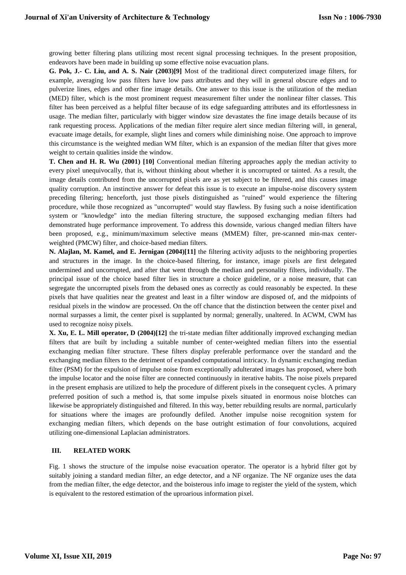growing better filtering plans utilizing most recent signal processing techniques. In the present proposition, endeavors have been made in building up some effective noise evacuation plans.

**G. Pok, J.- C. Liu, and A. S. Nair (2003)[9]** Most of the traditional direct computerized image filters, for example, averaging low pass filters have low pass attributes and they will in general obscure edges and to pulverize lines, edges and other fine image details. One answer to this issue is the utilization of the median (MED) filter, which is the most prominent request measurement filter under the nonlinear filter classes. This filter has been perceived as a helpful filter because of its edge safeguarding attributes and its effortlessness in usage. The median filter, particularly with bigger window size devastates the fine image details because of its rank requesting process. Applications of the median filter require alert since median filtering will, in general, evacuate image details, for example, slight lines and corners while diminishing noise. One approach to improve this circumstance is the weighted median WM filter, which is an expansion of the median filter that gives more weight to certain qualities inside the window.

**T. Chen and H. R. Wu (2001) [10]** Conventional median filtering approaches apply the median activity to every pixel unequivocally, that is, without thinking about whether it is uncorrupted or tainted. As a result, the image details contributed from the uncorrupted pixels are as yet subject to be filtered, and this causes image quality corruption. An instinctive answer for defeat this issue is to execute an impulse-noise discovery system preceding filtering; henceforth, just those pixels distinguished as "ruined" would experience the filtering procedure, while those recognized as "uncorrupted" would stay flawless. By fusing such a noise identification system or "knowledge" into the median filtering structure, the supposed exchanging median filters had demonstrated huge performance improvement. To address this downside, various changed median filters have been proposed, e.g., minimum/maximum selective means (MMEM) filter, pre-scanned min-max centerweighted (PMCW) filter, and choice-based median filters.

**N. Alajlan, M. Kamel, and E. Jernigan (2004)[11]** the filtering activity adjusts to the neighboring properties and structures in the image. In the choice-based filtering, for instance, image pixels are first delegated undermined and uncorrupted, and after that went through the median and personality filters, individually. The principal issue of the choice based filter lies in structure a choice guideline, or a noise measure, that can segregate the uncorrupted pixels from the debased ones as correctly as could reasonably be expected. In these pixels that have qualities near the greatest and least in a filter window are disposed of, and the midpoints of residual pixels in the window are processed. On the off chance that the distinction between the center pixel and normal surpasses a limit, the center pixel is supplanted by normal; generally, unaltered. In ACWM, CWM has used to recognize noisy pixels.

**X. Xu, E. L. Mill operator, D (2004)[12]** the tri-state median filter additionally improved exchanging median filters that are built by including a suitable number of center-weighted median filters into the essential exchanging median filter structure. These filters display preferable performance over the standard and the exchanging median filters to the detriment of expanded computational intricacy. In dynamic exchanging median filter (PSM) for the expulsion of impulse noise from exceptionally adulterated images has proposed, where both the impulse locator and the noise filter are connected continuously in iterative habits. The noise pixels prepared in the present emphasis are utilized to help the procedure of different pixels in the consequent cycles. A primary preferred position of such a method is, that some impulse pixels situated in enormous noise blotches can likewise be appropriately distinguished and filtered. In this way, better rebuilding results are normal, particularly for situations where the images are profoundly defiled. Another impulse noise recognition system for exchanging median filters, which depends on the base outright estimation of four convolutions, acquired utilizing one-dimensional Laplacian administrators.

# **III. RELATED WORK**

Fig. 1 shows the structure of the impulse noise evacuation operator. The operator is a hybrid filter got by suitably joining a standard median filter, an edge detector, and a NF organize. The NF organize uses the data from the median filter, the edge detector, and the boisterous info image to register the yield of the system, which is equivalent to the restored estimation of the uproarious information pixel.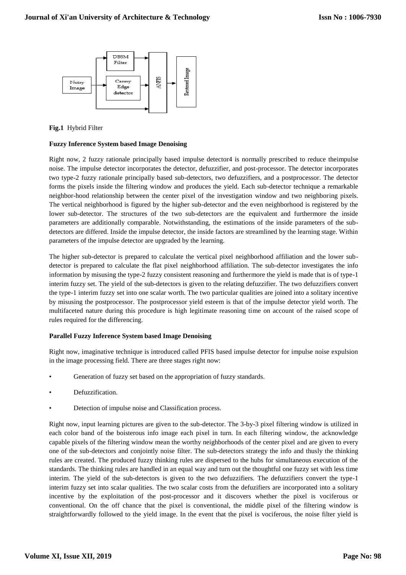

# **Fig.1** Hybrid Filter

# **Fuzzy Inference System based Image Denoising**

Right now, 2 fuzzy rationale principally based impulse detector4 is normally prescribed to reduce theimpulse noise. The impulse detector incorporates the detector, defuzzifier, and post-processor. The detector incorporates two type-2 fuzzy rationale principally based sub-detectors, two defuzzifiers, and a postprocessor. The detector forms the pixels inside the filtering window and produces the yield. Each sub-detector technique a remarkable neighbor-hood relationship between the center pixel of the investigation window and two neighboring pixels. The vertical neighborhood is figured by the higher sub-detector and the even neighborhood is registered by the lower sub-detector. The structures of the two sub-detectors are the equivalent and furthermore the inside parameters are additionally comparable. Notwithstanding, the estimations of the inside parameters of the subdetectors are differed. Inside the impulse detector, the inside factors are streamlined by the learning stage. Within parameters of the impulse detector are upgraded by the learning.

The higher sub-detector is prepared to calculate the vertical pixel neighborhood affiliation and the lower subdetector is prepared to calculate the flat pixel neighborhood affiliation. The sub-detector investigates the info information by misusing the type-2 fuzzy consistent reasoning and furthermore the yield is made that is of type-1 interim fuzzy set. The yield of the sub-detectors is given to the relating defuzzifier. The two defuzzifiers convert the type-1 interim fuzzy set into one scalar worth. The two particular qualities are joined into a solitary incentive by misusing the postprocessor. The postprocessor yield esteem is that of the impulse detector yield worth. The multifaceted nature during this procedure is high legitimate reasoning time on account of the raised scope of rules required for the differencing.

# **Parallel Fuzzy Inference System based Image Denoising**

Right now, imaginative technique is introduced called PFIS based impulse detector for impulse noise expulsion in the image processing field. There are three stages right now:

- Generation of fuzzy set based on the appropriation of fuzzy standards.
- Defuzzification.
- Detection of impulse noise and Classification process.

Right now, input learning pictures are given to the sub-detector. The 3-by-3 pixel filtering window is utilized in each color band of the boisterous info image each pixel in turn. In each filtering window, the acknowledge capable pixels of the filtering window mean the worthy neighborhoods of the center pixel and are given to every one of the sub-detectors and conjointly noise filter. The sub-detectors strategy the info and thusly the thinking rules are created. The produced fuzzy thinking rules are dispersed to the hubs for simultaneous execution of the standards. The thinking rules are handled in an equal way and turn out the thoughtful one fuzzy set with less time interim. The yield of the sub-detectors is given to the two defuzzifiers. The defuzzifiers convert the type-1 interim fuzzy set into scalar qualities. The two scalar costs from the defuzifiers are incorporated into a solitary incentive by the exploitation of the post-processor and it discovers whether the pixel is vociferous or conventional. On the off chance that the pixel is conventional, the middle pixel of the filtering window is straightforwardly followed to the yield image. In the event that the pixel is vociferous, the noise filter yield is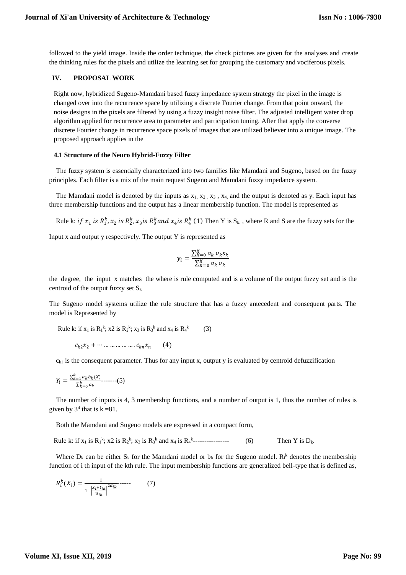followed to the yield image. Inside the order technique, the check pictures are given for the analyses and create the thinking rules for the pixels and utilize the learning set for grouping the customary and vociferous pixels.

## **IV. PROPOSAL WORK**

Right now, hybridized Sugeno-Mamdani based fuzzy impedance system strategy the pixel in the image is changed over into the recurrence space by utilizing a discrete Fourier change. From that point onward, the noise designs in the pixels are filtered by using a fuzzy insight noise filter. The adjusted intelligent water drop algorithm applied for recurrence area to parameter and participation tuning. After that apply the converse discrete Fourier change in recurrence space pixels of images that are utilized believer into a unique image. The proposed approach applies in the

#### **4.1 Structure of the Neuro Hybrid-Fuzzy Filter**

The fuzzy system is essentially characterized into two families like Mamdani and Sugeno, based on the fuzzy principles. Each filter is a mix of the main request Sugeno and Mamdani fuzzy impedance system.

The Mamdani model is denoted by the inputs as  $x_1, x_2, x_3, x_4$ , and the output is denoted as y. Each input has three membership functions and the output has a linear membership function. The model is represented as

Rule k: *if*  $x_1$  *is*  $R_1^k$ ,  $x_2$  *is*  $R_2^k$ ,  $x_3$ *is*  $R_3^k$  and  $x_4$ *is*  $R_4^k$  (1) Then Y is S<sub>k.</sub>, where R and S are the fuzzy sets for the

Input  $x$  and output  $y$  respectively. The output  $Y$  is represented as

$$
y_i = \frac{\sum_{K=0}^{K} a_k \, v_k s_k}{\sum_{K=0}^{K} a_k \, v_k}
$$

the degree, the input x matches the where is rule computed and is a volume of the output fuzzy set and is the centroid of the output fuzzy set  $S_k$ 

The Sugeno model systems utilize the rule structure that has a fuzzy antecedent and consequent parts. The model is Represented by

Rule k: if 
$$
x_1
$$
 is  $R_1^k$ ;  $x_2$  is  $R_2^k$ ;  $x_3$  is  $R_3^k$  and  $x_4$  is  $R_4^k$  (3)

 $c_{k2}x_2 + \cdots \dots \dots \dots \dots \dots c_{kn}x_n$  (4)

 $c_{k1}$  is the consequent parameter. Thus for any input x, output y is evaluated by centroid defuzzification

$$
Y_i = \frac{\sum_{k=1}^{k} a_k b_k(X)}{\sum_{k=0}^{k} a_k} \dots \dots \dots (5)
$$

The number of inputs is 4, 3 membership functions, and a number of output is 1, thus the number of rules is given by  $3^4$  that is  $k = 81$ .

Both the Mamdani and Sugeno models are expressed in a compact form,

Rule k: if  $x_1$  is  $R_1^k$ ;  $x_2$  is  $R_2^k$ ;  $x_3$  is  $R_3^k$  and  $x_4$  is  $R_4^k$  $(6)$  Then Y is  $D_k$ .

Where  $D_k$  can be either  $S_k$  for the Mamdani model or  $b_k$  for the Sugeno model.  $R_i^k$  denotes the membership function of i th input of the kth rule. The input membership functions are generalized bell-type that is defined as,

$$
R_i^k(X_i) = \frac{1}{1 + \left|\frac{x_i + t_{ik}}{u_{ik}}\right|^{2d_{ik}}} \dots \tag{7}
$$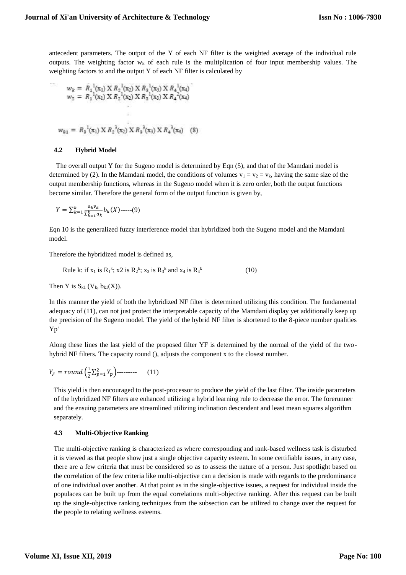antecedent parameters. The output of the Y of each NF filter is the weighted average of the individual rule outputs. The weighting factor  $w_k$  of each rule is the multiplication of four input membership values. The weighting factors to and the output Y of each NF filter is calculated by

$$
w_k = R_1^{1}(x_1) \times R_2^{1}(x_2) \times R_3^{1}(x_3) \times R_4^{1}(x_4)
$$
  

$$
w_2 = R_1^{1}(x_1) \times R_2^{1}(x_2) \times R_3^{1}(x_3) \times R_4^{2}(x_4)
$$

$$
w_{81} = R_3^{1}(x_1) X R_2^{3}(x_2) X R_3^{3}(x_3) X R_4^{3}(x_4)
$$
 (8)

#### **4.2 Hybrid Model**

The overall output Y for the Sugeno model is determined by Eqn (5), and that of the Mamdani model is determined by (2). In the Mamdani model, the conditions of volumes  $v_1 = v_2 = v_k$ , having the same size of the output membership functions, whereas in the Sugeno model when it is zero order, both the output functions become similar. Therefore the general form of the output function is given by,

$$
Y = \sum_{k=1}^{k} \frac{a_k v_k}{\sum_{k=1}^{k} a_k} b_k(X)
$$
-----(9)

Eqn 10 is the generalized fuzzy interference model that hybridized both the Sugeno model and the Mamdani model.

Therefore the hybridized model is defined as,

Rule k: if 
$$
x_1
$$
 is  $R_1^k$ ;  $x_2$  is  $R_2^k$ ;  $x_3$  is  $R_3^k$  and  $x_4$  is  $R_4^k$  (10)

Then Y is  $S_{k1}$  (V<sub>k</sub>,  $b_{k1}(X)$ ).

In this manner the yield of both the hybridized NF filter is determined utilizing this condition. The fundamental adequacy of (11), can not just protect the interpretable capacity of the Mamdani display yet additionally keep up the precision of the Sugeno model. The yield of the hybrid NF filter is shortened to the 8-piece number qualities Yp'

Along these lines the last yield of the proposed filter YF is determined by the normal of the yield of the twohybrid NF filters. The capacity round (), adjusts the component x to the closest number.

$$
Y_F = round\left(\frac{1}{2}\sum_{p=1}^{2} Y_p\right) \quad \text{(11)}
$$

This yield is then encouraged to the post-processor to produce the yield of the last filter. The inside parameters of the hybridized NF filters are enhanced utilizing a hybrid learning rule to decrease the error. The forerunner and the ensuing parameters are streamlined utilizing inclination descendent and least mean squares algorithm separately.

# **4.3 Multi-Objective Ranking**

The multi-objective ranking is characterized as where corresponding and rank-based wellness task is disturbed it is viewed as that people show just a single objective capacity esteem. In some certifiable issues, in any case, there are a few criteria that must be considered so as to assess the nature of a person. Just spotlight based on the correlation of the few criteria like multi-objective can a decision is made with regards to the predominance of one individual over another. At that point as in the single-objective issues, a request for individual inside the populaces can be built up from the equal correlations multi-objective ranking. After this request can be built up the single-objective ranking techniques from the subsection can be utilized to change over the request for the people to relating wellness esteems.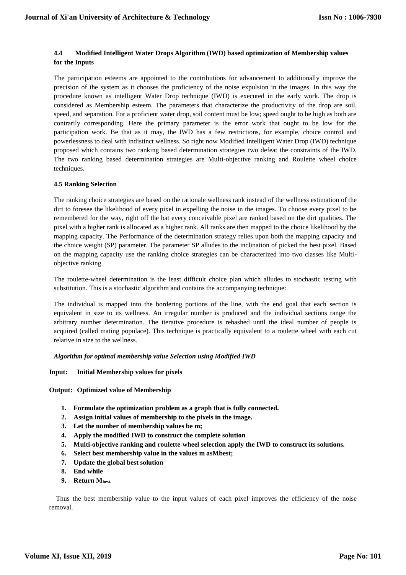# **4.4 Modified Intelligent Water Drops Algorithm (IWD) based optimization of Membership values for the Inputs**

The participation esteems are appointed to the contributions for advancement to additionally improve the precision of the system as it chooses the proficiency of the noise expulsion in the images. In this way the procedure known as intelligent Water Drop technique (IWD) is executed in the early work. The drop is considered as Membership esteem. The parameters that characterize the productivity of the drop are soil, speed, and separation. For a proficient water drop, soil content must be low; speed ought to be high as both are contrarily corresponding. Here the primary parameter is the error work that ought to be low for the participation work. Be that as it may, the IWD has a few restrictions, for example, choice control and powerlessness to deal with indistinct wellness. So right now Modified Intelligent Water Drop (IWD) technique proposed which contains two ranking based determination strategies two defeat the constraints of the IWD. The two ranking based determination strategies are Multi-objective ranking and Roulette wheel choice techniques.

# **4.5 Ranking Selection**

The ranking choice strategies are based on the rationale wellness rank instead of the wellness estimation of the dirt to foresee the likelihood of every pixel in expelling the noise in the images. To choose every pixel to be remembered for the way, right off the bat every conceivable pixel are ranked based on the dirt qualities. The pixel with a higher rank is allocated as a higher rank. All ranks are then mapped to the choice likelihood by the mapping capacity. The Performance of the determination strategy relies upon both the mapping capacity and the choice weight (SP) parameter. The parameter SP alludes to the inclination of picked the best pixel. Based on the mapping capacity use the ranking choice strategies can be characterized into two classes like Multiobjective ranking

The roulette-wheel determination is the least difficult choice plan which alludes to stochastic testing with substitution. This is a stochastic algorithm and contains the accompanying technique:

The individual is mapped into the bordering portions of the line, with the end goal that each section is equivalent in size to its wellness. An irregular number is produced and the individual sections range the arbitrary number determination. The iterative procedure is rehashed until the ideal number of people is acquired (called mating populace). This technique is practically equivalent to a roulette wheel with each cut relative in size to the wellness.

# *Algorithm for optimal membership value Selection using Modified IWD*

# **Input: Initial Membership values for pixels**

**Output: Optimized value of Membership**

- **1. Formulate the optimization problem as a graph that is fully connected.**
- **2. Assign initial values of membership to the pixels in the image.**
- **3. Let the number of membership values be m;**
- **4. Apply the modified IWD to construct the complete solution**
- **5. Multi-objective ranking and roulette-wheel selection apply the IWD to construct its solutions.**
- **6. Select best membership value in the values m asMbest;**
- **7. Update the global best solution**
- **8. End while**
- **9. Return Mbest.**

Thus the best membership value to the input values of each pixel improves the efficiency of the noise removal.